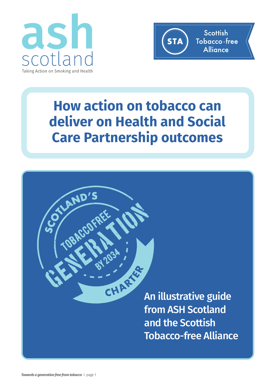

AND'S



## **How action on tobacco can deliver on Health and Social Care Partnership outcomes**

CHART S

**An illustrative guide from ASH Scotland and the Scottish Tobacco-free Alliance**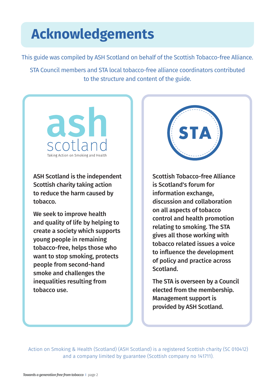## **Acknowledgements**

This guide was compiled by ASH Scotland on behalf of the Scottish Tobacco-free Alliance.

STA Council members and STA local tobacco-free alliance coordinators contributed to the structure and content of the guide.

ash Taking Action on Smoking and Health

**ASH Scotland is the independent Scottish charity taking action to reduce the harm caused by tobacco.**

**We seek to improve health and quality of life by helping to create a society which supports young people in remaining tobacco-free, helps those who want to stop smoking, protects people from second-hand smoke and challenges the inequalities resulting from tobacco use.**



**Scottish Tobacco-free Alliance is Scotland's forum for information exchange, discussion and collaboration on all aspects of tobacco control and health promotion relating to smoking. The STA gives all those working with tobacco related issues a voice to influence the development of policy and practice across Scotland.**

**The STA is overseen by a Council elected from the membership. Management support is provided by ASH Scotland.**

Action on Smoking & Health (Scotland) (ASH Scotland) is a registered Scottish charity (SC 010412) and a company limited by guarantee (Scottish company no 141711).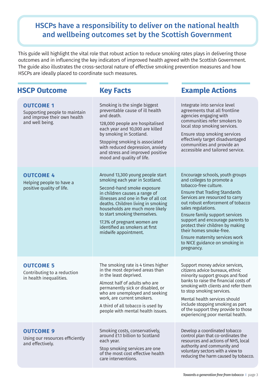## **HSCPs have a responsibility to deliver on the national health and wellbeing outcomes set by the Scottish Government**

This guide will highlight the vital role that robust action to reduce smoking rates plays in delivering those outcomes and in influencing the key indicators of improved health agreed with the Scottish Government. The guide also illustrates the cross-sectoral nature of effective smoking prevention measures and how HSCPs are ideally placed to coordinate such measures.

## **HSCP Outcome Key Facts Example Actions**

| <b>OUTCOME 1</b><br>Supporting people to maintain<br>and improve their own health<br>and well being. | Smoking is the single biggest<br>preventable cause of ill health<br>and death.<br>128,000 people are hospitalised<br>each year and 10,000 are killed<br>by smoking in Scotland.<br>Stopping smoking is associated<br>with reduced depression, anxiety<br>and stress and improved positive<br>mood and quality of life.                                                      | Integrate into service level<br>agreements that all frontline<br>agencies engaging with<br>communities refer smokers to<br>local stop smoking services.<br>Ensure stop smoking services<br>effectively target disadvantaged<br>communities and provide an<br>accessible and tailored service.                                                                                                                                                      |
|------------------------------------------------------------------------------------------------------|-----------------------------------------------------------------------------------------------------------------------------------------------------------------------------------------------------------------------------------------------------------------------------------------------------------------------------------------------------------------------------|----------------------------------------------------------------------------------------------------------------------------------------------------------------------------------------------------------------------------------------------------------------------------------------------------------------------------------------------------------------------------------------------------------------------------------------------------|
| <b>OUTCOME 4</b><br>Helping people to have a<br>positive quality of life.                            | Around 13,300 young people start<br>smoking each year in Scotland.<br>Second-hand smoke exposure<br>in children causes a range of<br>illnesses and one in five of all cot<br>deaths. Children living in smoking<br>households are much more likely<br>to start smoking themselves.<br>17.3% of pregnant women are<br>identified as smokers at first<br>midwife appointment. | Encourage schools, youth groups<br>and colleges to promote a<br>tobacco-free culture.<br><b>Ensure that Trading Standards</b><br>Services are resourced to carry<br>out robust enforcement of tobacco<br>sales regulations.<br>Ensure family support services<br>support and encourage parents to<br>protect their children by making<br>their homes smoke-free.<br>Ensure maternity services work<br>to NICE guidance on smoking in<br>pregnancy. |
| <b>OUTCOME 5</b><br>Contributing to a reduction<br>in health inequalities.                           | The smoking rate is 4 times higher<br>in the most deprived areas than<br>in the least deprived.<br>Almost half of adults who are<br>permanently sick or disabled, or<br>who are unemployed and seeking<br>work, are current smokers.<br>A third of all tobacco is used by<br>people with mental health issues.                                                              | Support money advice services,<br>citizens advice bureaux, ethnic<br>minority support groups and food<br>banks to raise the financial costs of<br>smoking with clients and refer them<br>to stop smoking services.<br>Mental health services should<br>include stopping smoking as part<br>of the support they provide to those<br>experiencing poor mental health.                                                                                |
| <b>OUTCOME 9</b><br>Using our resources efficiently<br>and effectively.                              | Smoking costs, conservatively,<br>around £1.1 billion to Scotland<br>each year.<br>Stop smoking services are one<br>of the most cost effective health<br>care interventions.                                                                                                                                                                                                | Develop a coordinated tobacco<br>control plan that co-ordinates the<br>resources and actions of NHS, local<br>authority and community and<br>voluntary sectors with a view to<br>reducing the harm caused by tobacco.                                                                                                                                                                                                                              |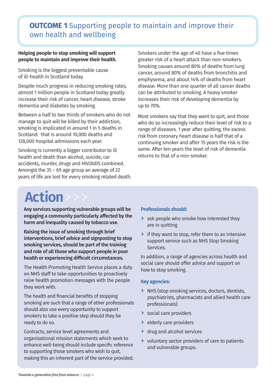## **OUTCOME 1** Supporting people to maintain and improve their own health and wellbeing

#### **Helping people to stop smoking will support people to maintain and improve their health.**

Smoking is the biggest preventable cause of ill-health in Scotland today.

Despite much progress in reducing smoking rates, almost 1 million people in Scotland today greatly increase their risk of cancer, heart disease, stroke dementia and diabetes by smoking.

Between a half to two thirds of smokers who do not manage to quit will be killed by their addiction, smoking is implicated in around 1 in 5 deaths in Scotland: that is around 10,000 deaths and 128,000 hospital admissions each year.

Smoking is currently a bigger contributor to ill health and death than alcohol, suicide, car accidents, murder, drugs and HIV/AIDS combined. Amongst the 35 – 69 age group an average of 22 years of life are lost for every smoking related death. Smokers under the age of 40 have a five times greater risk of a heart attack than non-smokers. Smoking causes around 80% of deaths from lung cancer, around 80% of deaths from bronchitis and emphysema, and about 14% of deaths from heart disease. More than one quarter of all cancer deaths can be attributed to smoking. A heavy smoker increases their risk of developing dementia by up to 70%.

Most smokers say that they want to quit, and those who do so increasingly reduce their level of risk to a range of diseases. 1 year after quitting, the excess risk from coronary heart disease is half that of a continuing smoker and after 15 years the risk is the same. After ten years the level of risk of dementia returns to that of a non-smoker.

## **Action**>>>

**Any services supporting vulnerable groups will be engaging a community particularly affected by the harm and inequality caused by tobacco use.**

**Raising the issue of smoking through brief interventions, brief advice and signposting to stop smoking services, should be part of the training and role of all those who support people in poor health or experiencing difficult circumstances.**

The Health Promoting Health Service places a duty on NHS staff to take opportunities to proactively raise health promotion messages with the people they work with.

The health and financial benefits of stopping smoking are such that a range of other professionals should also use every opportunity to support smokers to take a positive step should they be ready to do so.

Contracts, service level agreements and organisational mission statements which seek to enhance well-being should include specific reference to supporting those smokers who wish to quit, making this an inherent part of the service provided.

### **Professionals should:**

- **>** ask people who smoke how interested they are in quitting
- **>** if they want to stop, refer them to an intensive support service such as NHS Stop Smoking Services.

In addition, a range of agencies across health and social care should offer advice and support on how to stop smoking.

- **>** NHS (stop smoking services, doctors, dentists, psychiatrists, pharmacists and allied health care professionals)
- **>** social care providers
- **>** elderly care providers
- **>** drug and alcohol services
- **>** voluntary sector providers of care to patients and vulnerable groups.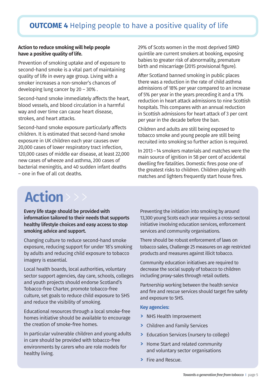## **OUTCOME 4** Helping people to have a positive quality of life

#### **Action to reduce smoking will help people have a positive quality of life.**

Prevention of smoking uptake and of exposure to second-hand smoke is a vital part of maintaining quality of life in every age group. Living with a smoker increases a non-smoker's chances of developing lung cancer by 20 – 30% .

Second-hand smoke immediately affects the heart, blood vessels, and blood circulation in a harmful way and over time can cause heart disease, strokes, and heart attacks.

Second-hand smoke exposure particularly affects children. It is estimated that second-hand smoke exposure in UK children each year causes over 20,000 cases of lower respiratory tract infection, 120,000 cases of middle ear disease, at least 22,000 new cases of wheeze and asthma, 200 cases of bacterial meningitis, and 40 sudden infant deaths – one in five of all cot deaths.

29% of Scots women in the most deprived SIMD quintile are current smokers at booking, exposing babies to greater risk of abnormality, premature birth and miscarriage (2015 provisional figure).

After Scotland banned smoking in public places there was a reduction in the rate of child asthma admissions of 18% per year compared to an increase of 5% per year in the years preceding it and a 17% reduction in heart attack admissions to nine Scottish hospitals. This compares with an annual reduction in Scottish admissions for heart attack of 3 per cent per year in the decade before the ban.

Children and adults are still being exposed to tobacco smoke and young people are still being recruited into smoking so further action is required.

In 2013 –14 smokers materials and matches were the main source of ignition in 58 per cent of accidental dwelling fire fatalities. Domestic fires pose one of the greatest risks to children. Children playing with matches and lighters frequently start house fires.

## **Action**>>>

### **Every life stage should be provided with information tailored to their needs that supports healthy lifestyle choices and easy access to stop smoking advice and support.**

Changing culture to reduce second-hand smoke exposure, reducing support for under 18's smoking by adults and reducing child exposure to tobacco imagery is essential.

Local health boards, local authorities, voluntary sector support agencies, day care, schools, colleges and youth projects should endorse Scotland's Tobacco-free Charter, promote tobacco-free culture, set goals to reduce child exposure to SHS and reduce the visibility of smoking.

Educational resources through a local smoke-free homes initiative should be available to encourage the creation of smoke-free homes.

In particular vulnerable children and young adults in care should be provided with tobacco-free environments by carers who are role models for healthy living.

Preventing the initiation into smoking by around 13,300 young Scots each year requires a cross-sectoral initiative involving education services, enforcement services and community organisations.

There should be robust enforcement of laws on tobacco sales, Challenge 25 measures on age restricted products and measures against illicit tobacco.

Community education initiatives are required to decrease the social supply of tobacco to children including proxy-sales through retail outlets.

Partnership working between the health service and fire and rescue services should target fire safety and exposure to SHS.

- **>** NHS Health Improvement
- **>** Children and Family Services
- **>** Education Services (nursery to college)
- **>** Home Start and related community and voluntary sector organisations
- **>** Fire and Rescue.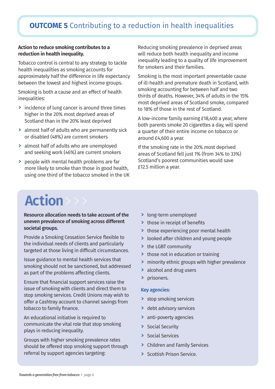## **OUTCOME 5** Contributing to a reduction in health inequalities

#### **Action to reduce smoking contributes to a reduction in health inequality.**

Tobacco control is central to any strategy to tackle health inequalities as smoking accounts for approximately half the difference in life expectancy between the lowest and highest income groups.

Smoking is both a cause and an effect of health inequalities:

- **>** incidence of lung cancer is around three times higher in the 20% most deprived areas of Scotland than in the 20% least deprived
- **>** almost half of adults who are permanently sick or disabled (48%) are current smokers
- **>** almost half of adults who are unemployed and seeking work (46%) are current smokers
- **>** people with mental health problems are far more likely to smoke than those in good health, using one third of the tobacco smoked in the UK

Reducing smoking prevalence in deprived areas will reduce both health inequality and income inequality leading to a quality of life improvement for smokers and their families.

Smoking is the most important preventable cause of ill-health and premature death in Scotland, with smoking accounting for between half and two thirds of deaths. However, 34% of adults in the 15% most deprived areas of Scotland smoke, compared to 18% of those in the rest of Scotland.

A low-income family earning £18,400 a year, where both parents smoke 20 cigarettes a day, will spend a quarter of their entire income on tobacco or around £4,600 a year.

If the smoking rate in the 20% most deprived areas of Scotland fell just 1% (from 34% to 33%) Scotland's poorest communities would save £12.5 million a year.

# **Action**>>>

### **Resource allocation needs to take account of the uneven prevalence of smoking across different societal groups.**

Provide a Smoking Cessation Service flexible to the individual needs of clients and particularly targeted at those living in difficult circumstances.

Issue guidance to mental health services that smoking should not be sanctioned, but addressed as part of the problems affecting clients.

Ensure that financial support services raise the issue of smoking with clients and direct them to stop smoking services. Credit Unions may wish to offer a Cashtray account to channel savings from tobacco to family finance.

An educational initiative is required to communicate the vital role that stop smoking plays in reducing inequality.

Groups with higher smoking prevalence rates should be offered stop smoking support through referral by support agencies targeting:

- **>** long-term unemployed
- **>** those in receipt of benefits
- **>** those experiencing poor mental health
- **>** looked after children and young people
- **>** the LGBT community
- **>** those not in education or training
- **>** minority ethnic groups with higher prevalence
- **>** alcohol and drug users
- **>** prisoners.

- **>** stop smoking services
- **>** debt advisory services
- **>** anti-poverty agencies
- **>** Social Security
- **>** Social Services
- **>** Children and Family Services
- **>** Scottish Prison Service.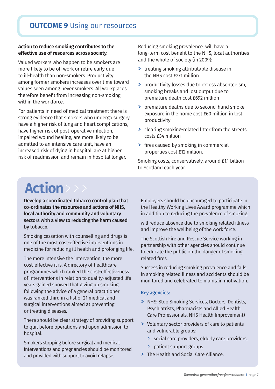## **OUTCOME 9** Using our resources

#### **Action to reduce smoking contributes to the effective use ofresources across society.**

Valued workers who happen to be smokers are more likely to be off work or retire early due to ill-health than non-smokers. Productivity among former smokers increases over time toward values seen among never smokers. All workplaces therefore benefit from increasing non-smoking within the workforce.

For patients in need of medical treatment there is strong evidence that smokers who undergo surgery have a higher risk of lung and heart complications, have higher risk of post-operative infection, impaired wound healing, are more likely to be admitted to an intensive care unit, have an increased risk of dying in hospital, are at higher risk of readmission and remain in hospital longer.

Reducing smoking prevalence will have a long-term cost benefit to the NHS, local authorities and the whole of society (in 2009):

- **>** treating smoking attributable disease in the NHS cost £271 million
- **>** productivity losses due to excess absenteeism, smoking breaks and lost output due to premature death cost £692 million
- **>** premature deaths due to second-hand smoke exposure in the home cost £60 million in lost productivity
- **>** clearing smoking-related litter from the streets costs £34 million
- **>** fires caused by smoking in commercial properties cost £12 million.

Smoking costs, conservatively, around £1.1 billion to Scotland each year.

# **Action**>>>

**Develop a coordinated tobacco control plan that co-ordinates the resources and actions of NHS, local authority and community and voluntary sectors with a view to reducing the harm caused by tobacco.**

Smoking cessation with counselling and drugs is one of the most cost-effective interventions in medicine for reducing ill health and prolonging life.

The more intensive the intervention, the more cost-effective it is. A directory of healthcare programmes which ranked the cost-effectiveness of interventions in relation to quality-adjusted life years gained showed that giving up smoking following the advice of a general practitioner was ranked third in a list of 21 medical and surgical interventions aimed at preventing or treating diseases.

There should be clear strategy of providing support to quit before operations and upon admission to hospital.

Smokers stopping before surgical and medical interventions and pregnancies should be monitored and provided with support to avoid relapse.

Employers should be encouraged to participate in the Healthy Working Lives Award programme which in addition to reducing the prevalence of smoking

will reduce absence due to smoking related illness and improve the wellbeing of the work force.

The Scottish Fire and Rescue Service working in partnership with other agencies should continue to educate the public on the danger of smoking related fires.

Success in reducing smoking prevalence and falls in smoking related illness and accidents should be monitored and celebrated to maintain motivation.

- **>** NHS: Stop Smoking Services, Doctors, Dentists, Psychiatrists, Pharmacists and Allied Health Care Professionals, NHS Health Improvement)
- **>** Voluntary sector providers of care to patients and vulnerable groups:
	- > social care providers, elderly care providers,
	- > patient support groups
- **>** The Health and Social Care Alliance.